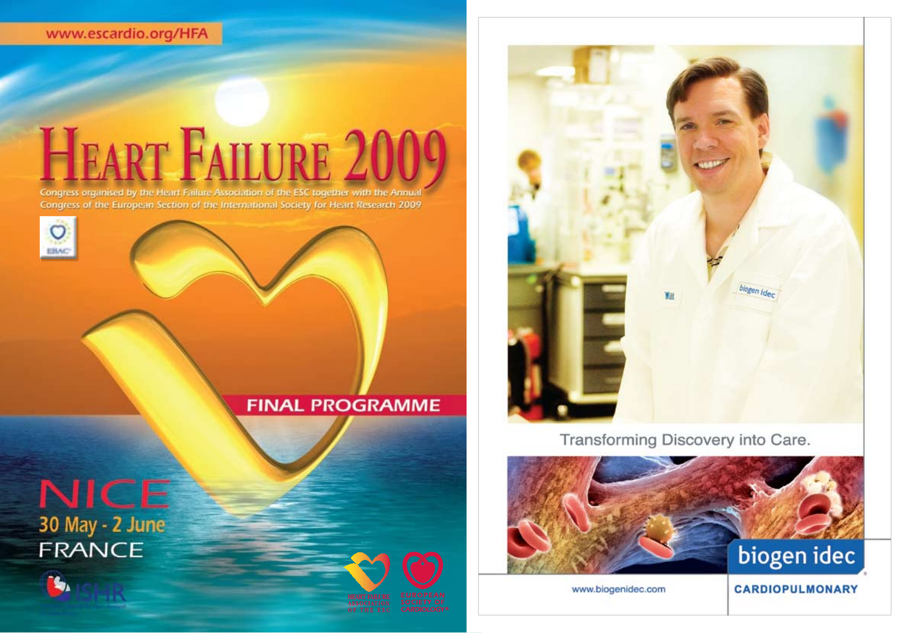www.escardio.org/HFA

## **HEART FAILURE 200**

Congress organised by the Heart Failure Association of the ESC together with the Annual Congress of the European Section of the International Society for Heart Research 2009



## **FINAL PROGRAMME**







ASSOCIATION<br>OF THE FO